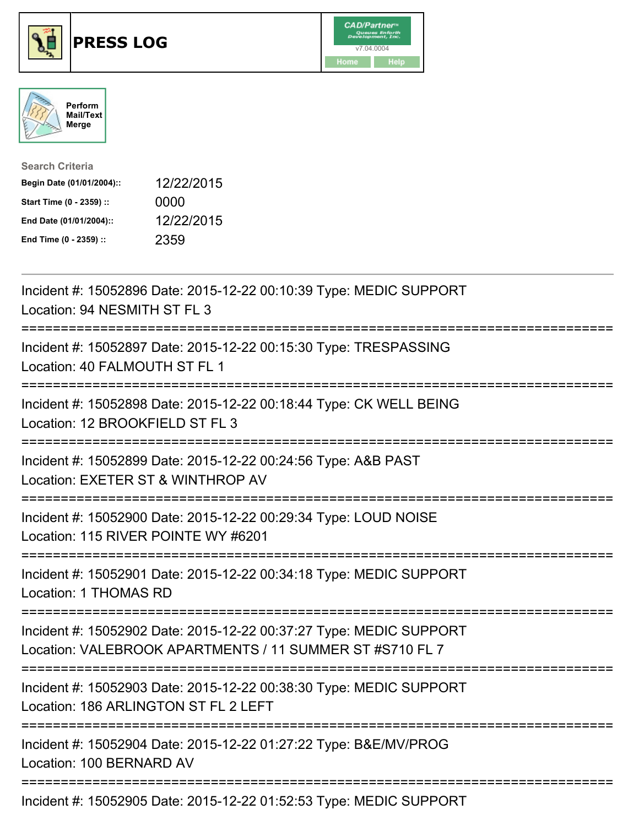

## **PRESS LOG** v7.04.0004





| <b>Search Criteria</b>    |            |
|---------------------------|------------|
| Begin Date (01/01/2004):: | 12/22/2015 |
| Start Time (0 - 2359) ::  | 0000       |
| End Date (01/01/2004)::   | 12/22/2015 |
| End Time (0 - 2359) ::    | 2359       |

Incident #: 15052896 Date: 2015-12-22 00:10:39 Type: MEDIC SUPPORT Location: 94 NESMITH ST FL 3 =========================================================================== Incident #: 15052897 Date: 2015-12-22 00:15:30 Type: TRESPASSING Location: 40 FALMOUTH ST FL 1 =========================================================================== Incident #: 15052898 Date: 2015-12-22 00:18:44 Type: CK WELL BEING Location: 12 BROOKFIELD ST FL 3 =========================================================================== Incident #: 15052899 Date: 2015-12-22 00:24:56 Type: A&B PAST Location: EXETER ST & WINTHROP AV =========================================================================== Incident #: 15052900 Date: 2015-12-22 00:29:34 Type: LOUD NOISE Location: 115 RIVER POINTE WY #6201 =========================================================================== Incident #: 15052901 Date: 2015-12-22 00:34:18 Type: MEDIC SUPPORT Location: 1 THOMAS RD =========================================================================== Incident #: 15052902 Date: 2015-12-22 00:37:27 Type: MEDIC SUPPORT Location: VALEBROOK APARTMENTS / 11 SUMMER ST #S710 FL 7 =========================================================================== Incident #: 15052903 Date: 2015-12-22 00:38:30 Type: MEDIC SUPPORT Location: 186 ARLINGTON ST FL 2 LEFT =========================================================================== Incident #: 15052904 Date: 2015-12-22 01:27:22 Type: B&E/MV/PROG Location: 100 BERNARD AV =========================================================================== Incident #: 15052905 Date: 2015-12-22 01:52:53 Type: MEDIC SUPPORT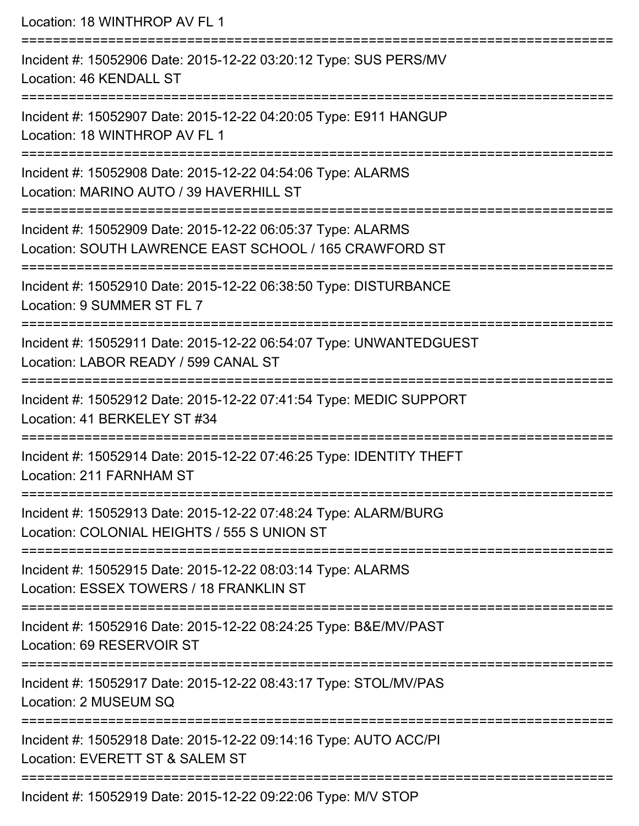Location: 18 WINTHROP AV FL 1 =========================================================================== Incident #: 15052906 Date: 2015-12-22 03:20:12 Type: SUS PERS/MV Location: 46 KENDALL ST =========================================================================== Incident #: 15052907 Date: 2015-12-22 04:20:05 Type: E911 HANGUP Location: 18 WINTHROP AV FL 1 =========================================================================== Incident #: 15052908 Date: 2015-12-22 04:54:06 Type: ALARMS Location: MARINO AUTO / 39 HAVERHILL ST =========================================================================== Incident #: 15052909 Date: 2015-12-22 06:05:37 Type: ALARMS Location: SOUTH LAWRENCE EAST SCHOOL / 165 CRAWFORD ST =========================================================================== Incident #: 15052910 Date: 2015-12-22 06:38:50 Type: DISTURBANCE Location: 9 SUMMER ST FL 7 =========================================================================== Incident #: 15052911 Date: 2015-12-22 06:54:07 Type: UNWANTEDGUEST Location: LABOR READY / 599 CANAL ST =========================================================================== Incident #: 15052912 Date: 2015-12-22 07:41:54 Type: MEDIC SUPPORT Location: 41 BERKELEY ST #34 =========================================================================== Incident #: 15052914 Date: 2015-12-22 07:46:25 Type: IDENTITY THEFT Location: 211 FARNHAM ST =========================================================================== Incident #: 15052913 Date: 2015-12-22 07:48:24 Type: ALARM/BURG Location: COLONIAL HEIGHTS / 555 S UNION ST =========================================================================== Incident #: 15052915 Date: 2015-12-22 08:03:14 Type: ALARMS Location: ESSEX TOWERS / 18 FRANKLIN ST =========================================================================== Incident #: 15052916 Date: 2015-12-22 08:24:25 Type: B&E/MV/PAST Location: 69 RESERVOIR ST =========================================================================== Incident #: 15052917 Date: 2015-12-22 08:43:17 Type: STOL/MV/PAS Location: 2 MUSEUM SQ =========================================================================== Incident #: 15052918 Date: 2015-12-22 09:14:16 Type: AUTO ACC/PI Location: EVERETT ST & SALEM ST =========================================================================== Incident #: 15052919 Date: 2015-12-22 09:22:06 Type: M/V STOP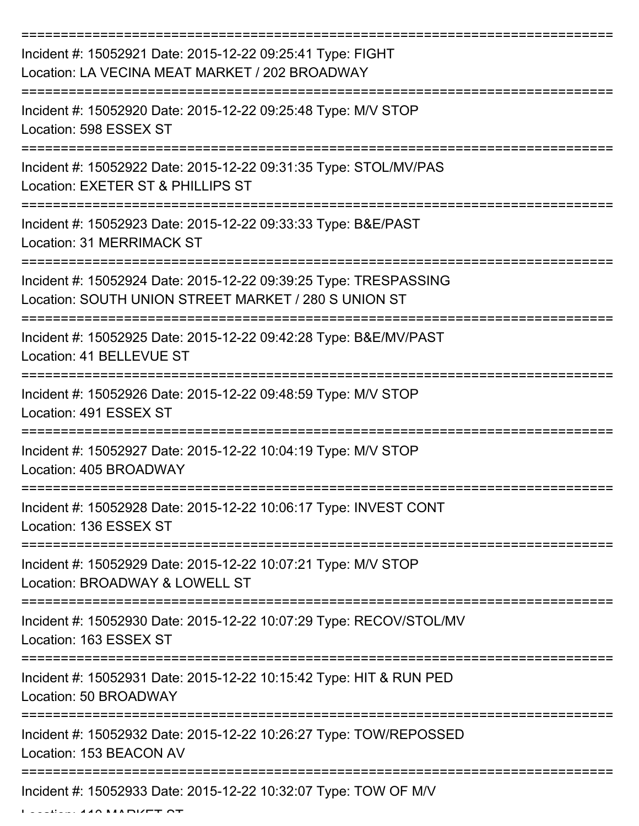| Incident #: 15052921 Date: 2015-12-22 09:25:41 Type: FIGHT<br>Location: LA VECINA MEAT MARKET / 202 BROADWAY             |
|--------------------------------------------------------------------------------------------------------------------------|
| Incident #: 15052920 Date: 2015-12-22 09:25:48 Type: M/V STOP<br>Location: 598 ESSEX ST                                  |
| Incident #: 15052922 Date: 2015-12-22 09:31:35 Type: STOL/MV/PAS<br>Location: EXETER ST & PHILLIPS ST                    |
| Incident #: 15052923 Date: 2015-12-22 09:33:33 Type: B&E/PAST<br>Location: 31 MERRIMACK ST                               |
| Incident #: 15052924 Date: 2015-12-22 09:39:25 Type: TRESPASSING<br>Location: SOUTH UNION STREET MARKET / 280 S UNION ST |
| Incident #: 15052925 Date: 2015-12-22 09:42:28 Type: B&E/MV/PAST<br>Location: 41 BELLEVUE ST                             |
| Incident #: 15052926 Date: 2015-12-22 09:48:59 Type: M/V STOP<br>Location: 491 ESSEX ST                                  |
| Incident #: 15052927 Date: 2015-12-22 10:04:19 Type: M/V STOP<br>Location: 405 BROADWAY                                  |
| Incident #: 15052928 Date: 2015-12-22 10:06:17 Type: INVEST CONT<br>Location: 136 ESSEX ST                               |
| Incident #: 15052929 Date: 2015-12-22 10:07:21 Type: M/V STOP<br>Location: BROADWAY & LOWELL ST                          |
| Incident #: 15052930 Date: 2015-12-22 10:07:29 Type: RECOV/STOL/MV<br>Location: 163 ESSEX ST                             |
| Incident #: 15052931 Date: 2015-12-22 10:15:42 Type: HIT & RUN PED<br>Location: 50 BROADWAY                              |
| Incident #: 15052932 Date: 2015-12-22 10:26:27 Type: TOW/REPOSSED<br>Location: 153 BEACON AV                             |
| Incident #: 15052933 Date: 2015-12-22 10:32:07 Type: TOW OF M/V                                                          |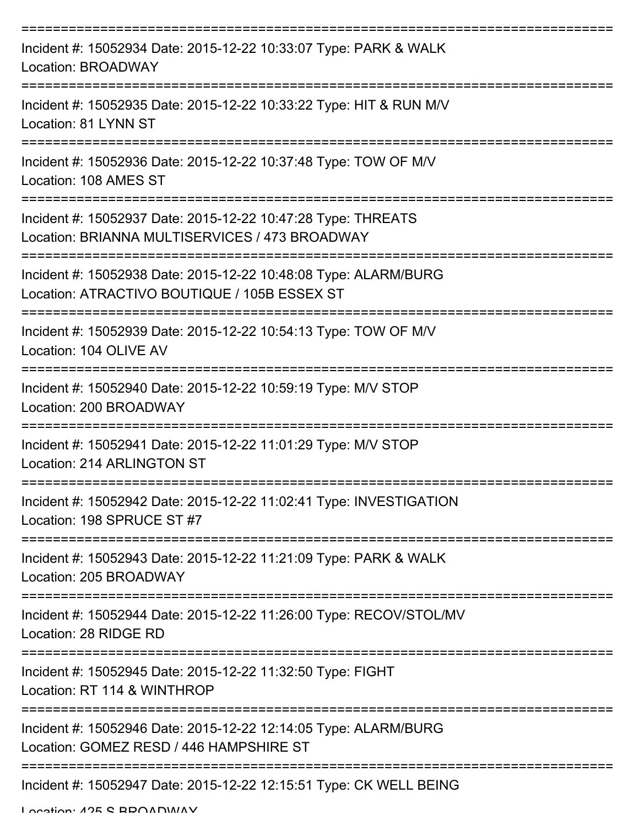| Incident #: 15052934 Date: 2015-12-22 10:33:07 Type: PARK & WALK<br><b>Location: BROADWAY</b>                   |
|-----------------------------------------------------------------------------------------------------------------|
| Incident #: 15052935 Date: 2015-12-22 10:33:22 Type: HIT & RUN M/V<br>Location: 81 LYNN ST                      |
| Incident #: 15052936 Date: 2015-12-22 10:37:48 Type: TOW OF M/V<br>Location: 108 AMES ST                        |
| Incident #: 15052937 Date: 2015-12-22 10:47:28 Type: THREATS<br>Location: BRIANNA MULTISERVICES / 473 BROADWAY  |
| Incident #: 15052938 Date: 2015-12-22 10:48:08 Type: ALARM/BURG<br>Location: ATRACTIVO BOUTIQUE / 105B ESSEX ST |
| Incident #: 15052939 Date: 2015-12-22 10:54:13 Type: TOW OF M/V<br>Location: 104 OLIVE AV                       |
| Incident #: 15052940 Date: 2015-12-22 10:59:19 Type: M/V STOP<br>Location: 200 BROADWAY                         |
| Incident #: 15052941 Date: 2015-12-22 11:01:29 Type: M/V STOP<br>Location: 214 ARLINGTON ST                     |
| Incident #: 15052942 Date: 2015-12-22 11:02:41 Type: INVESTIGATION<br>Location: 198 SPRUCE ST #7                |
| Incident #: 15052943 Date: 2015-12-22 11:21:09 Type: PARK & WALK<br>Location: 205 BROADWAY                      |
| Incident #: 15052944 Date: 2015-12-22 11:26:00 Type: RECOV/STOL/MV<br>Location: 28 RIDGE RD                     |
| Incident #: 15052945 Date: 2015-12-22 11:32:50 Type: FIGHT<br>Location: RT 114 & WINTHROP                       |
| Incident #: 15052946 Date: 2015-12-22 12:14:05 Type: ALARM/BURG<br>Location: GOMEZ RESD / 446 HAMPSHIRE ST      |
| Incident #: 15052947 Date: 2015-12-22 12:15:51 Type: CK WELL BEING                                              |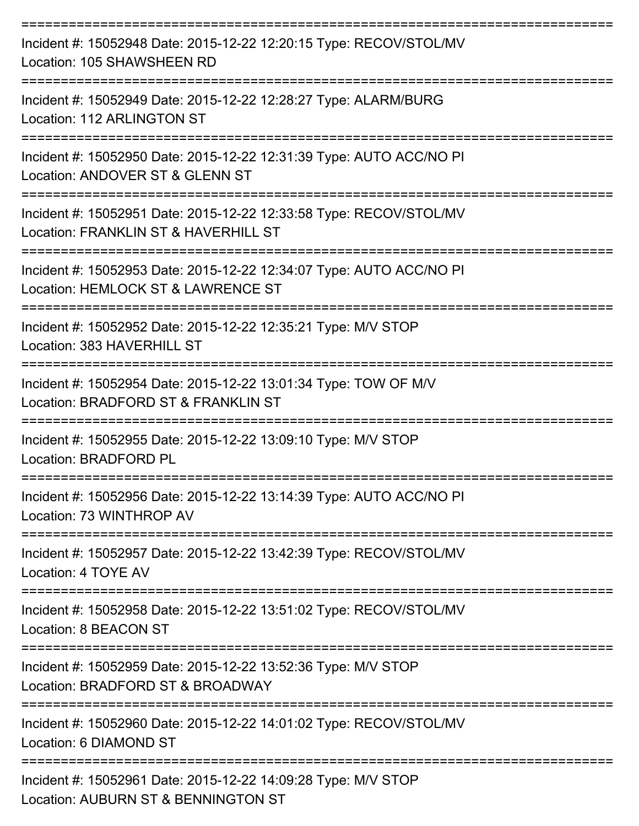| Incident #: 15052948 Date: 2015-12-22 12:20:15 Type: RECOV/STOL/MV<br>Location: 105 SHAWSHEEN RD           |
|------------------------------------------------------------------------------------------------------------|
| Incident #: 15052949 Date: 2015-12-22 12:28:27 Type: ALARM/BURG<br>Location: 112 ARLINGTON ST              |
| Incident #: 15052950 Date: 2015-12-22 12:31:39 Type: AUTO ACC/NO PI<br>Location: ANDOVER ST & GLENN ST     |
| Incident #: 15052951 Date: 2015-12-22 12:33:58 Type: RECOV/STOL/MV<br>Location: FRANKLIN ST & HAVERHILL ST |
| Incident #: 15052953 Date: 2015-12-22 12:34:07 Type: AUTO ACC/NO PI<br>Location: HEMLOCK ST & LAWRENCE ST  |
| Incident #: 15052952 Date: 2015-12-22 12:35:21 Type: M/V STOP<br>Location: 383 HAVERHILL ST                |
| Incident #: 15052954 Date: 2015-12-22 13:01:34 Type: TOW OF M/V<br>Location: BRADFORD ST & FRANKLIN ST     |
| Incident #: 15052955 Date: 2015-12-22 13:09:10 Type: M/V STOP<br>Location: BRADFORD PL                     |
| Incident #: 15052956 Date: 2015-12-22 13:14:39 Type: AUTO ACC/NO PI<br>Location: 73 WINTHROP AV            |
| ------------<br>Incident #: 15052957 Date: 2015-12-22 13:42:39 Type: RECOV/STOL/MV<br>Location: 4 TOYE AV  |
| Incident #: 15052958 Date: 2015-12-22 13:51:02 Type: RECOV/STOL/MV<br>Location: 8 BEACON ST                |
| Incident #: 15052959 Date: 2015-12-22 13:52:36 Type: M/V STOP<br>Location: BRADFORD ST & BROADWAY          |
| Incident #: 15052960 Date: 2015-12-22 14:01:02 Type: RECOV/STOL/MV<br>Location: 6 DIAMOND ST               |
| Incident #: 15052961 Date: 2015-12-22 14:09:28 Type: M/V STOP<br>Location: AUBURN ST & BENNINGTON ST       |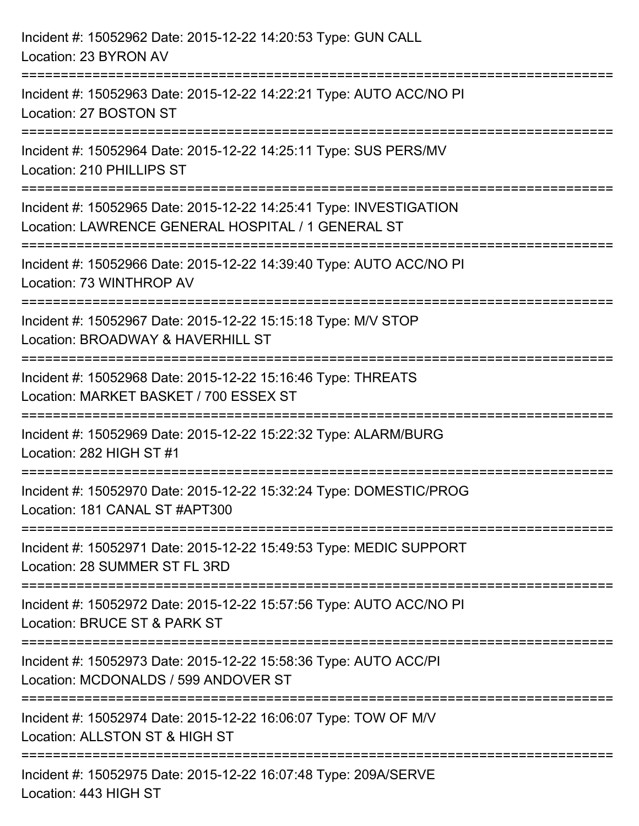| Incident #: 15052962 Date: 2015-12-22 14:20:53 Type: GUN CALL<br>Location: 23 BYRON AV                                                                   |
|----------------------------------------------------------------------------------------------------------------------------------------------------------|
| ===================================<br>Incident #: 15052963 Date: 2015-12-22 14:22:21 Type: AUTO ACC/NO PI<br>Location: 27 BOSTON ST<br>---------------- |
| Incident #: 15052964 Date: 2015-12-22 14:25:11 Type: SUS PERS/MV<br>Location: 210 PHILLIPS ST                                                            |
| Incident #: 15052965 Date: 2015-12-22 14:25:41 Type: INVESTIGATION<br>Location: LAWRENCE GENERAL HOSPITAL / 1 GENERAL ST<br>:========================    |
| Incident #: 15052966 Date: 2015-12-22 14:39:40 Type: AUTO ACC/NO PI<br>Location: 73 WINTHROP AV                                                          |
| Incident #: 15052967 Date: 2015-12-22 15:15:18 Type: M/V STOP<br>Location: BROADWAY & HAVERHILL ST                                                       |
| -----------------------<br>Incident #: 15052968 Date: 2015-12-22 15:16:46 Type: THREATS<br>Location: MARKET BASKET / 700 ESSEX ST                        |
| Incident #: 15052969 Date: 2015-12-22 15:22:32 Type: ALARM/BURG<br>Location: 282 HIGH ST #1                                                              |
| Incident #: 15052970 Date: 2015-12-22 15:32:24 Type: DOMESTIC/PROG<br>Location: 181 CANAL ST #APT300                                                     |
| Incident #: 15052971 Date: 2015-12-22 15:49:53 Type: MEDIC SUPPORT<br>Location: 28 SUMMER ST FL 3RD                                                      |
| Incident #: 15052972 Date: 2015-12-22 15:57:56 Type: AUTO ACC/NO PI<br>Location: BRUCE ST & PARK ST                                                      |
| Incident #: 15052973 Date: 2015-12-22 15:58:36 Type: AUTO ACC/PI<br>Location: MCDONALDS / 599 ANDOVER ST                                                 |
| Incident #: 15052974 Date: 2015-12-22 16:06:07 Type: TOW OF M/V<br>Location: ALLSTON ST & HIGH ST                                                        |
| Incident #: 15052975 Date: 2015-12-22 16:07:48 Type: 209A/SERVE<br>Location: 443 HIGH ST                                                                 |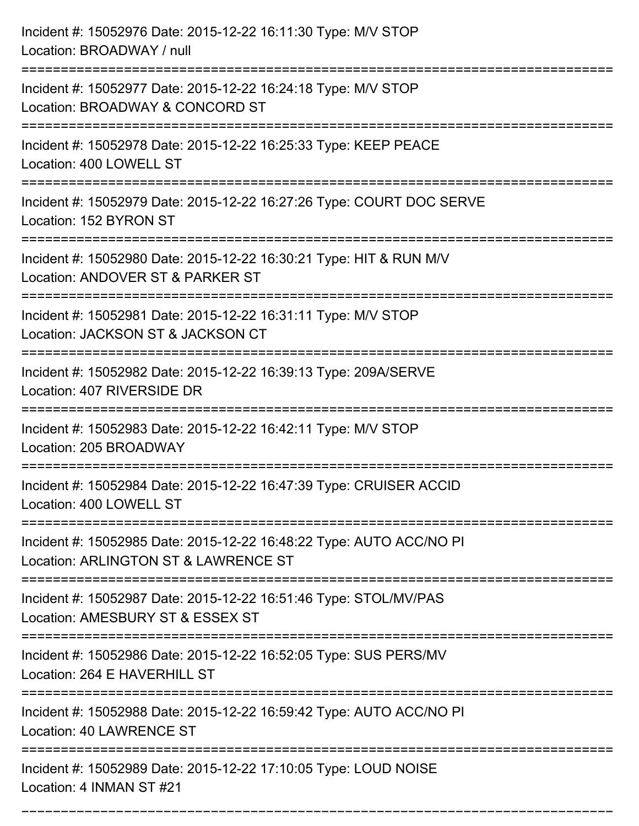| Incident #: 15052976 Date: 2015-12-22 16:11:30 Type: M/V STOP<br>Location: BROADWAY / null                  |
|-------------------------------------------------------------------------------------------------------------|
| Incident #: 15052977 Date: 2015-12-22 16:24:18 Type: M/V STOP<br>Location: BROADWAY & CONCORD ST            |
| Incident #: 15052978 Date: 2015-12-22 16:25:33 Type: KEEP PEACE<br>Location: 400 LOWELL ST                  |
| Incident #: 15052979 Date: 2015-12-22 16:27:26 Type: COURT DOC SERVE<br>Location: 152 BYRON ST              |
| Incident #: 15052980 Date: 2015-12-22 16:30:21 Type: HIT & RUN M/V<br>Location: ANDOVER ST & PARKER ST      |
| Incident #: 15052981 Date: 2015-12-22 16:31:11 Type: M/V STOP<br>Location: JACKSON ST & JACKSON CT          |
| Incident #: 15052982 Date: 2015-12-22 16:39:13 Type: 209A/SERVE<br>Location: 407 RIVERSIDE DR               |
| Incident #: 15052983 Date: 2015-12-22 16:42:11 Type: M/V STOP<br>Location: 205 BROADWAY                     |
| Incident #: 15052984 Date: 2015-12-22 16:47:39 Type: CRUISER ACCID<br>Location: 400 LOWELL ST               |
| Incident #: 15052985 Date: 2015-12-22 16:48:22 Type: AUTO ACC/NO PI<br>Location: ARLINGTON ST & LAWRENCE ST |
| Incident #: 15052987 Date: 2015-12-22 16:51:46 Type: STOL/MV/PAS<br>Location: AMESBURY ST & ESSEX ST        |
| Incident #: 15052986 Date: 2015-12-22 16:52:05 Type: SUS PERS/MV<br>Location: 264 E HAVERHILL ST            |
| Incident #: 15052988 Date: 2015-12-22 16:59:42 Type: AUTO ACC/NO PI<br>Location: 40 LAWRENCE ST             |
| Incident #: 15052989 Date: 2015-12-22 17:10:05 Type: LOUD NOISE<br>Location: 4 INMAN ST #21                 |

===========================================================================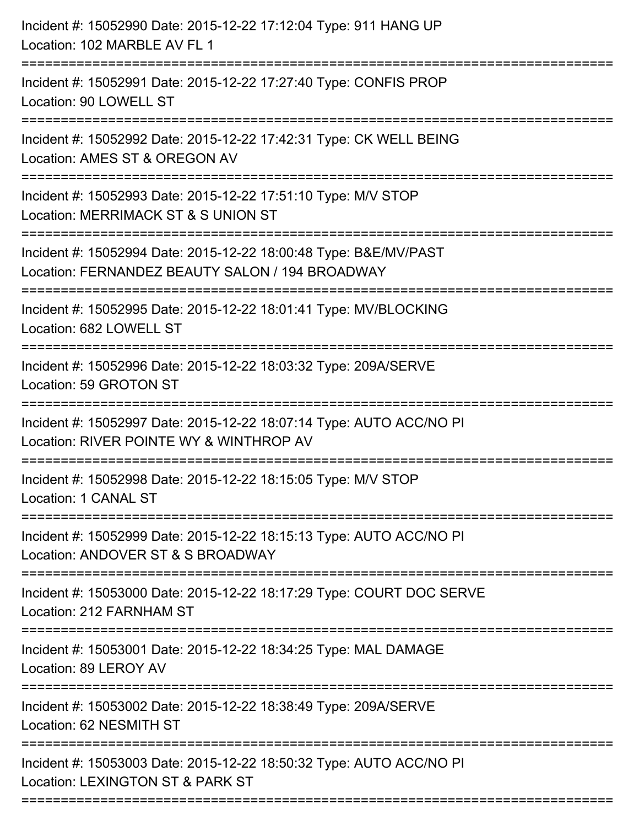| Incident #: 15052990 Date: 2015-12-22 17:12:04 Type: 911 HANG UP<br>Location: 102 MARBLE AV FL 1                                                                        |
|-------------------------------------------------------------------------------------------------------------------------------------------------------------------------|
| =======================<br>Incident #: 15052991 Date: 2015-12-22 17:27:40 Type: CONFIS PROP<br>Location: 90 LOWELL ST                                                   |
| Incident #: 15052992 Date: 2015-12-22 17:42:31 Type: CK WELL BEING<br>Location: AMES ST & OREGON AV                                                                     |
| Incident #: 15052993 Date: 2015-12-22 17:51:10 Type: M/V STOP<br>Location: MERRIMACK ST & S UNION ST<br>:==============                                                 |
| Incident #: 15052994 Date: 2015-12-22 18:00:48 Type: B&E/MV/PAST<br>Location: FERNANDEZ BEAUTY SALON / 194 BROADWAY<br>============================<br>---------------- |
| Incident #: 15052995 Date: 2015-12-22 18:01:41 Type: MV/BLOCKING<br>Location: 682 LOWELL ST                                                                             |
| Incident #: 15052996 Date: 2015-12-22 18:03:32 Type: 209A/SERVE<br>Location: 59 GROTON ST                                                                               |
| Incident #: 15052997 Date: 2015-12-22 18:07:14 Type: AUTO ACC/NO PI<br>Location: RIVER POINTE WY & WINTHROP AV                                                          |
| Incident #: 15052998 Date: 2015-12-22 18:15:05 Type: M/V STOP<br>Location: 1 CANAL ST                                                                                   |
| Incident #: 15052999 Date: 2015-12-22 18:15:13 Type: AUTO ACC/NO PI<br>Location: ANDOVER ST & S BROADWAY                                                                |
| Incident #: 15053000 Date: 2015-12-22 18:17:29 Type: COURT DOC SERVE<br>Location: 212 FARNHAM ST                                                                        |
| Incident #: 15053001 Date: 2015-12-22 18:34:25 Type: MAL DAMAGE<br>Location: 89 LEROY AV                                                                                |
| Incident #: 15053002 Date: 2015-12-22 18:38:49 Type: 209A/SERVE<br>Location: 62 NESMITH ST                                                                              |
| Incident #: 15053003 Date: 2015-12-22 18:50:32 Type: AUTO ACC/NO PI<br>Location: LEXINGTON ST & PARK ST                                                                 |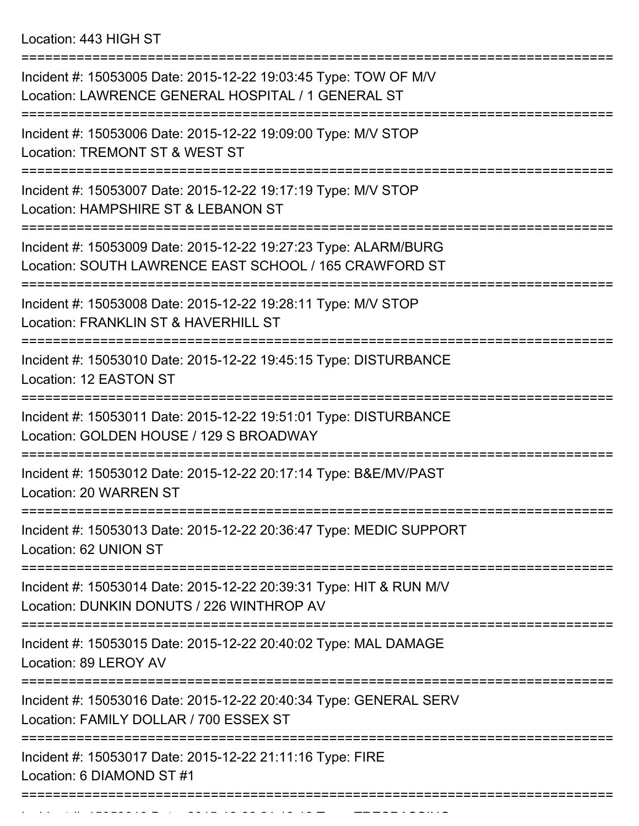Location: 443 HIGH ST

=========================================================================== Incident #: 15053005 Date: 2015-12-22 19:03:45 Type: TOW OF M/V Location: LAWRENCE GENERAL HOSPITAL / 1 GENERAL ST =========================================================================== Incident #: 15053006 Date: 2015-12-22 19:09:00 Type: M/V STOP Location: TREMONT ST & WEST ST =========================================================================== Incident #: 15053007 Date: 2015-12-22 19:17:19 Type: M/V STOP Location: HAMPSHIRE ST & LEBANON ST =========================================================================== Incident #: 15053009 Date: 2015-12-22 19:27:23 Type: ALARM/BURG Location: SOUTH LAWRENCE EAST SCHOOL / 165 CRAWFORD ST =========================================================================== Incident #: 15053008 Date: 2015-12-22 19:28:11 Type: M/V STOP Location: FRANKLIN ST & HAVERHILL ST =========================================================================== Incident #: 15053010 Date: 2015-12-22 19:45:15 Type: DISTURBANCE Location: 12 EASTON ST =========================================================================== Incident #: 15053011 Date: 2015-12-22 19:51:01 Type: DISTURBANCE Location: GOLDEN HOUSE / 129 S BROADWAY =========================================================================== Incident #: 15053012 Date: 2015-12-22 20:17:14 Type: B&E/MV/PAST Location: 20 WARREN ST =========================================================================== Incident #: 15053013 Date: 2015-12-22 20:36:47 Type: MEDIC SUPPORT Location: 62 UNION ST =========================================================================== Incident #: 15053014 Date: 2015-12-22 20:39:31 Type: HIT & RUN M/V Location: DUNKIN DONUTS / 226 WINTHROP AV =========================================================================== Incident #: 15053015 Date: 2015-12-22 20:40:02 Type: MAL DAMAGE Location: 89 LEROY AV =========================================================================== Incident #: 15053016 Date: 2015-12-22 20:40:34 Type: GENERAL SERV Location: FAMILY DOLLAR / 700 ESSEX ST =========================================================================== Incident #: 15053017 Date: 2015-12-22 21:11:16 Type: FIRE Location: 6 DIAMOND ST #1 ===========================================================================

Incident #: 15053018 Date: 2015 12 22 21:18:12 Type: TRESPASSING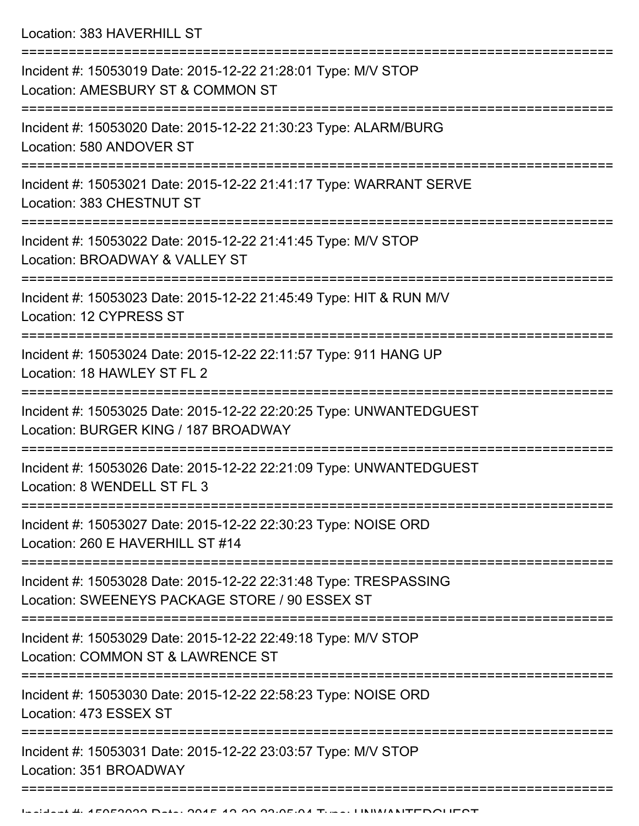Location: 383 HAVERHILL ST

| Incident #: 15053019 Date: 2015-12-22 21:28:01 Type: M/V STOP<br>Location: AMESBURY ST & COMMON ST                 |
|--------------------------------------------------------------------------------------------------------------------|
| Incident #: 15053020 Date: 2015-12-22 21:30:23 Type: ALARM/BURG<br>Location: 580 ANDOVER ST                        |
| Incident #: 15053021 Date: 2015-12-22 21:41:17 Type: WARRANT SERVE<br>Location: 383 CHESTNUT ST                    |
| Incident #: 15053022 Date: 2015-12-22 21:41:45 Type: M/V STOP<br>Location: BROADWAY & VALLEY ST                    |
| Incident #: 15053023 Date: 2015-12-22 21:45:49 Type: HIT & RUN M/V<br>Location: 12 CYPRESS ST                      |
| Incident #: 15053024 Date: 2015-12-22 22:11:57 Type: 911 HANG UP<br>Location: 18 HAWLEY ST FL 2                    |
| Incident #: 15053025 Date: 2015-12-22 22:20:25 Type: UNWANTEDGUEST<br>Location: BURGER KING / 187 BROADWAY         |
| Incident #: 15053026 Date: 2015-12-22 22:21:09 Type: UNWANTEDGUEST<br>Location: 8 WENDELL ST FL 3                  |
| Incident #: 15053027 Date: 2015-12-22 22:30:23 Type: NOISE ORD<br>Location: 260 E HAVERHILL ST #14                 |
| Incident #: 15053028 Date: 2015-12-22 22:31:48 Type: TRESPASSING<br>Location: SWEENEYS PACKAGE STORE / 90 ESSEX ST |
| Incident #: 15053029 Date: 2015-12-22 22:49:18 Type: M/V STOP<br>Location: COMMON ST & LAWRENCE ST                 |
| Incident #: 15053030 Date: 2015-12-22 22:58:23 Type: NOISE ORD<br>Location: 473 ESSEX ST                           |
| Incident #: 15053031 Date: 2015-12-22 23:03:57 Type: M/V STOP<br>Location: 351 BROADWAY                            |
|                                                                                                                    |